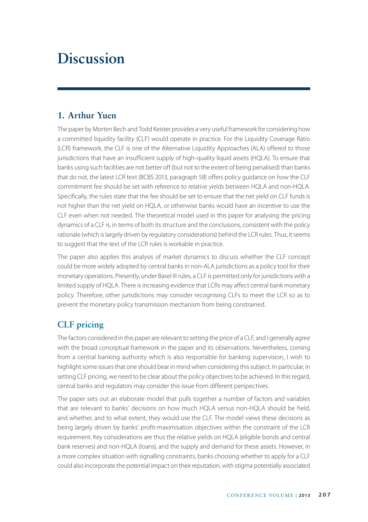# **Discussion**

#### **1. Arthur Yuen**

The paper by Morten Bech and Todd Keister provides a very useful framework for considering how a committed liquidity facility (CLF) would operate in practice. For the Liquidity Coverage Ratio (LCR) framework, the CLF is one of the Alternative Liquidity Approaches (ALA) offered to those jurisdictions that have an insufficient supply of high-quality liquid assets (HQLA). To ensure that banks using such facilities are not better off (but not to the extent of being penalised) than banks that do not, the latest LCR text (BCBS 2013, paragraph 58) offers policy guidance on how the CLF commitment fee should be set with reference to relative yields between HQLA and non-HQLA. Specifically, the rules state that the fee should be set to ensure that the net yield on CLF funds is not higher than the net yield on HQLA, or otherwise banks would have an incentive to use the CLF even when not needed. The theoretical model used in this paper for analysing the pricing dynamics of a CLF is, in terms of both its structure and the conclusions, consistent with the policy rationale (which is largely driven by regulatory considerations) behind the LCR rules. Thus, it seems to suggest that the text of the LCR rules is workable in practice.

The paper also applies this analysis of market dynamics to discuss whether the CLF concept could be more widely adopted by central banks in non-ALA jurisdictions as a policy tool for their monetary operations. Presently, under Basel III rules, a CLF is permitted only for jurisdictions with a limited supply of HQLA. There is increasing evidence that LCRs may affect central bank monetary policy. Therefore, other jurisdictions may consider recognising CLFs to meet the LCR so as to prevent the monetary policy transmission mechanism from being constrained.

## **CLF pricing**

The factors considered in this paper are relevant to setting the price of a CLF, and I generally agree with the broad conceptual framework in the paper and its observations. Nevertheless, coming from a central banking authority which is also responsible for banking supervision, I wish to highlight some issues that one should bear in mind when considering this subject. In particular, in setting CLF pricing, we need to be clear about the policy objectives to be achieved. In this regard, central banks and regulators may consider this issue from different perspectives.

The paper sets out an elaborate model that pulls together a number of factors and variables that are relevant to banks' decisions on how much HQLA versus non-HQLA should be held, and whether, and to what extent, they would use the CLF. The model views these decisions as being largely driven by banks' profit-maximisation objectives within the constraint of the LCR requirement. Key considerations are thus the relative yields on HQLA (eligible bonds and central bank reserves) and non-HQLA (loans), and the supply and demand for these assets. However, in a more complex situation with signalling constraints, banks choosing whether to apply for a CLF could also incorporate the potential impact on their reputation, with stigma potentially associated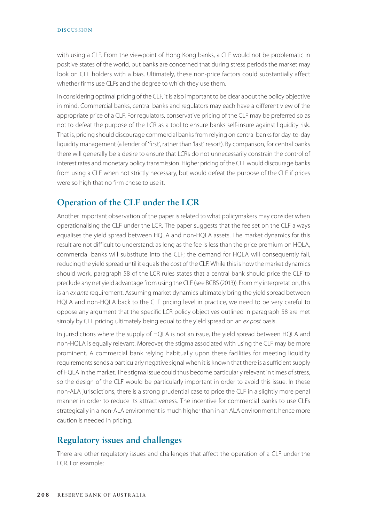#### DISCUSSION

with using a CLF. From the viewpoint of Hong Kong banks, a CLF would not be problematic in positive states of the world, but banks are concerned that during stress periods the market may look on CLF holders with a bias. Ultimately, these non-price factors could substantially affect whether firms use CLFs and the degree to which they use them.

In considering optimal pricing of the CLF, it is also important to be clear about the policy objective in mind. Commercial banks, central banks and regulators may each have a different view of the appropriate price of a CLF. For regulators, conservative pricing of the CLF may be preferred so as not to defeat the purpose of the LCR as a tool to ensure banks self-insure against liquidity risk. That is, pricing should discourage commercial banks from relying on central banks for day-to-day liquidity management (a lender of 'first', rather than 'last' resort). By comparison, for central banks there will generally be a desire to ensure that LCRs do not unnecessarily constrain the control of interest rates and monetary policy transmission. Higher pricing of the CLF would discourage banks from using a CLF when not strictly necessary, but would defeat the purpose of the CLF if prices were so high that no firm chose to use it.

## **Operation of the CLF under the LCR**

Another important observation of the paper is related to what policymakers may consider when operationalising the CLF under the LCR. The paper suggests that the fee set on the CLF always equalises the yield spread between HQLA and non-HQLA assets. The market dynamics for this result are not difficult to understand: as long as the fee is less than the price premium on HQLA, commercial banks will substitute into the CLF; the demand for HQLA will consequently fall, reducing the yield spread until it equals the cost of the CLF. While this is how the market dynamics should work, paragraph 58 of the LCR rules states that a central bank should price the CLF to preclude any net yield advantage from using the CLF (see BCBS (2013)). From my interpretation, this is an *ex ante* requirement. Assuming market dynamics ultimately bring the yield spread between HQLA and non-HQLA back to the CLF pricing level in practice, we need to be very careful to oppose any argument that the specific LCR policy objectives outlined in paragraph 58 are met simply by CLF pricing ultimately being equal to the yield spread on an *ex post* basis.

In jurisdictions where the supply of HQLA is not an issue, the yield spread between HQLA and non-HQLA is equally relevant. Moreover, the stigma associated with using the CLF may be more prominent. A commercial bank relying habitually upon these facilities for meeting liquidity requirements sends a particularly negative signal when it is known that there is a sufficient supply of HQLA in the market. The stigma issue could thus become particularly relevant in times of stress, so the design of the CLF would be particularly important in order to avoid this issue. In these non-ALA jurisdictions, there is a strong prudential case to price the CLF in a slightly more penal manner in order to reduce its attractiveness. The incentive for commercial banks to use CLFs strategically in a non-ALA environment is much higher than in an ALA environment; hence more caution is needed in pricing.

### **Regulatory issues and challenges**

There are other regulatory issues and challenges that affect the operation of a CLF under the LCR. For example: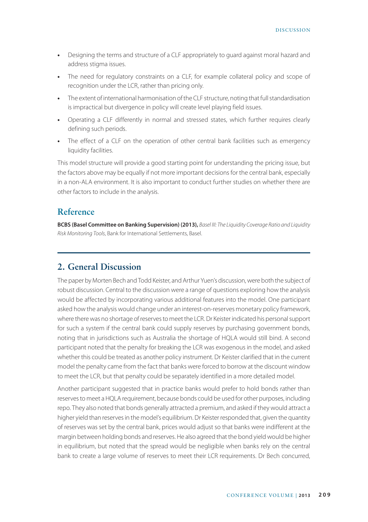- **•** Designing the terms and structure of a CLF appropriately to guard against moral hazard and address stigma issues.
- **•** The need for regulatory constraints on a CLF, for example collateral policy and scope of recognition under the LCR, rather than pricing only.
- **•** The extent of international harmonisation of the CLF structure, noting that full standardisation is impractical but divergence in policy will create level playing field issues.
- **•** Operating a CLF differently in normal and stressed states, which further requires clearly defining such periods.
- **•** The effect of a CLF on the operation of other central bank facilities such as emergency liquidity facilities.

This model structure will provide a good starting point for understanding the pricing issue, but the factors above may be equally if not more important decisions for the central bank, especially in a non-ALA environment. It is also important to conduct further studies on whether there are other factors to include in the analysis.

#### **Reference**

**BCBS (Basel Committee on Banking Supervision) (2013),** *Basel III: The Liquidity Coverage Ratio and Liquidity Risk Monitoring Tools*, Bank for International Settlements, Basel.

### **2. General Discussion**

The paper by Morten Bech and Todd Keister, and Arthur Yuen's discussion, were both the subject of robust discussion. Central to the discussion were a range of questions exploring how the analysis would be affected by incorporating various additional features into the model. One participant asked how the analysis would change under an interest-on-reserves monetary policy framework, where there was no shortage of reserves to meet the LCR. Dr Keister indicated his personal support for such a system if the central bank could supply reserves by purchasing government bonds, noting that in jurisdictions such as Australia the shortage of HQLA would still bind. A second participant noted that the penalty for breaking the LCR was exogenous in the model, and asked whether this could be treated as another policy instrument. Dr Keister clarified that in the current model the penalty came from the fact that banks were forced to borrow at the discount window to meet the LCR, but that penalty could be separately identified in a more detailed model.

Another participant suggested that in practice banks would prefer to hold bonds rather than reserves to meet a HQLA requirement, because bonds could be used for other purposes, including repo. They also noted that bonds generally attracted a premium, and asked if they would attract a higher yield than reserves in the model's equilibrium. Dr Keister responded that, given the quantity of reserves was set by the central bank, prices would adjust so that banks were indifferent at the margin between holding bonds and reserves. He also agreed that the bond yield would be higher in equilibrium, but noted that the spread would be negligible when banks rely on the central bank to create a large volume of reserves to meet their LCR requirements. Dr Bech concurred,